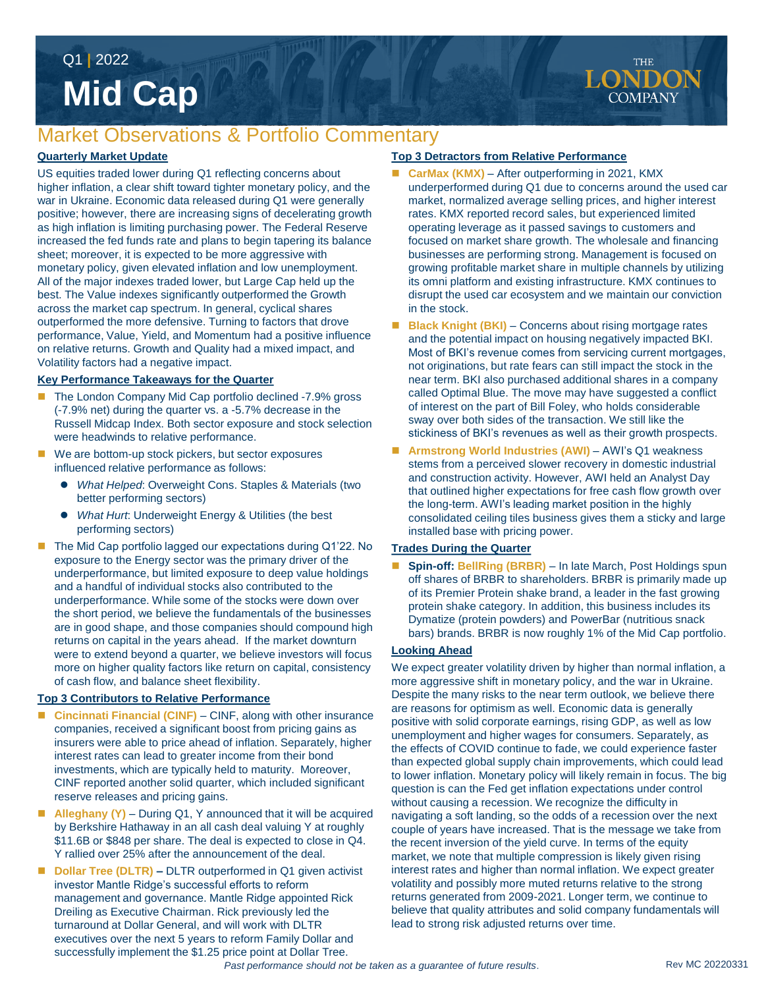# **Mid Cap** Q1 **|** 2022

## Market Observations & Portfolio Commentary

#### **Quarterly Market Update**

US equities traded lower during Q1 reflecting concerns about higher inflation, a clear shift toward tighter monetary policy, and the war in Ukraine. Economic data released during Q1 were generally positive; however, there are increasing signs of decelerating growth as high inflation is limiting purchasing power. The Federal Reserve increased the fed funds rate and plans to begin tapering its balance sheet; moreover, it is expected to be more aggressive with monetary policy, given elevated inflation and low unemployment. All of the major indexes traded lower, but Large Cap held up the best. The Value indexes significantly outperformed the Growth across the market cap spectrum. In general, cyclical shares outperformed the more defensive. Turning to factors that drove performance, Value, Yield, and Momentum had a positive influence on relative returns. Growth and Quality had a mixed impact, and Volatility factors had a negative impact.

#### **Key Performance Takeaways for the Quarter**

- The London Company Mid Cap portfolio declined -7.9% gross (-7.9% net) during the quarter vs. a -5.7% decrease in the Russell Midcap Index. Both sector exposure and stock selection were headwinds to relative performance.
- We are bottom-up stock pickers, but sector exposures influenced relative performance as follows:
	- *What Helped*: Overweight Cons. Staples & Materials (two better performing sectors)
	- *What Hurt*: Underweight Energy & Utilities (the best performing sectors)
- The Mid Cap portfolio lagged our expectations during Q1'22. No exposure to the Energy sector was the primary driver of the underperformance, but limited exposure to deep value holdings and a handful of individual stocks also contributed to the underperformance. While some of the stocks were down over the short period, we believe the fundamentals of the businesses are in good shape, and those companies should compound high returns on capital in the years ahead. If the market downturn were to extend beyond a quarter, we believe investors will focus more on higher quality factors like return on capital, consistency of cash flow, and balance sheet flexibility.

#### **Top 3 Contributors to Relative Performance**

- **Cincinnati Financial (CINF)**  CINF, along with other insurance companies, received a significant boost from pricing gains as insurers were able to price ahead of inflation. Separately, higher interest rates can lead to greater income from their bond investments, which are typically held to maturity. Moreover, CINF reported another solid quarter, which included significant reserve releases and pricing gains.
- **Alleghany (Y)**  During Q1, Y announced that it will be acquired by Berkshire Hathaway in an all cash deal valuing Y at roughly \$11.6B or \$848 per share. The deal is expected to close in Q4. Y rallied over 25% after the announcement of the deal.
- **Dollar Tree (DLTR)** DLTR outperformed in Q1 given activist investor Mantle Ridge's successful efforts to reform management and governance. Mantle Ridge appointed Rick Dreiling as Executive Chairman. Rick previously led the turnaround at Dollar General, and will work with DLTR executives over the next 5 years to reform Family Dollar and successfully implement the \$1.25 price point at Dollar Tree.

#### **Top 3 Detractors from Relative Performance**

- **CarMax (KMX)**  After outperforming in 2021, KMX underperformed during Q1 due to concerns around the used car market, normalized average selling prices, and higher interest rates. KMX reported record sales, but experienced limited operating leverage as it passed savings to customers and focused on market share growth. The wholesale and financing businesses are performing strong. Management is focused on growing profitable market share in multiple channels by utilizing its omni platform and existing infrastructure. KMX continues to disrupt the used car ecosystem and we maintain our conviction in the stock.
- **Black Knight (BKI)** Concerns about rising mortgage rates and the potential impact on housing negatively impacted BKI. Most of BKI's revenue comes from servicing current mortgages, not originations, but rate fears can still impact the stock in the near term. BKI also purchased additional shares in a company called Optimal Blue. The move may have suggested a conflict of interest on the part of Bill Foley, who holds considerable sway over both sides of the transaction. We still like the stickiness of BKI's revenues as well as their growth prospects.
- Armstrong World Industries (AWI) AWI's Q1 weakness stems from a perceived slower recovery in domestic industrial and construction activity. However, AWI held an Analyst Day that outlined higher expectations for free cash flow growth over the long-term. AWI's leading market position in the highly consolidated ceiling tiles business gives them a sticky and large installed base with pricing power.

#### **Trades During the Quarter**

**Spin-off: BellRing (BRBR)** – In late March, Post Holdings spun off shares of BRBR to shareholders. BRBR is primarily made up of its Premier Protein shake brand, a leader in the fast growing protein shake category. In addition, this business includes its Dymatize (protein powders) and PowerBar (nutritious snack bars) brands. BRBR is now roughly 1% of the Mid Cap portfolio.

#### **Looking Ahead**

We expect greater volatility driven by higher than normal inflation, a more aggressive shift in monetary policy, and the war in Ukraine. Despite the many risks to the near term outlook, we believe there are reasons for optimism as well. Economic data is generally positive with solid corporate earnings, rising GDP, as well as low unemployment and higher wages for consumers. Separately, as the effects of COVID continue to fade, we could experience faster than expected global supply chain improvements, which could lead to lower inflation. Monetary policy will likely remain in focus. The big question is can the Fed get inflation expectations under control without causing a recession. We recognize the difficulty in navigating a soft landing, so the odds of a recession over the next couple of years have increased. That is the message we take from the recent inversion of the yield curve. In terms of the equity market, we note that multiple compression is likely given rising interest rates and higher than normal inflation. We expect greater volatility and possibly more muted returns relative to the strong returns generated from 2009-2021. Longer term, we continue to believe that quality attributes and solid company fundamentals will lead to strong risk adjusted returns over time.